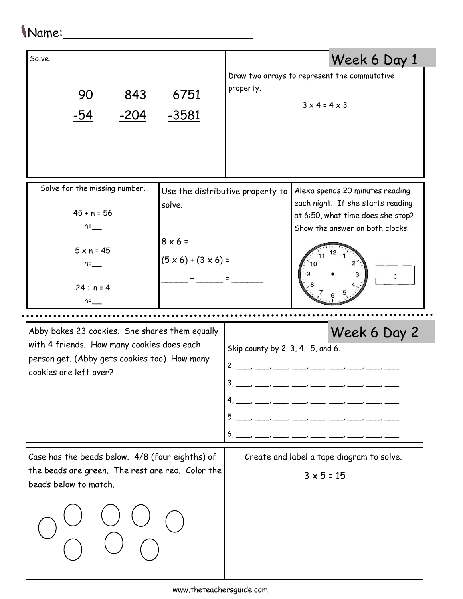## Name:\_\_\_\_\_\_\_\_\_\_\_\_\_\_\_\_\_\_\_\_\_\_\_\_\_

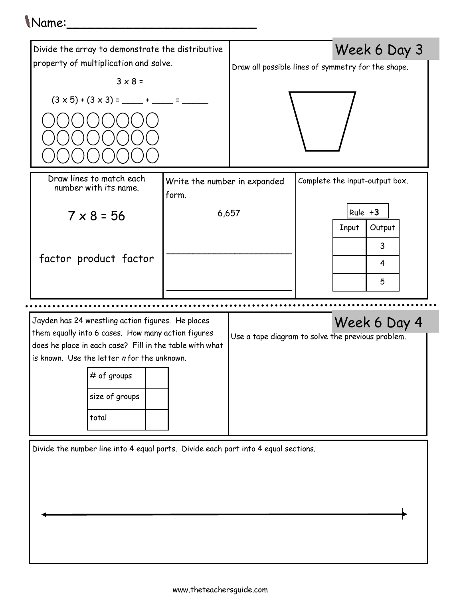## Name:\_\_\_\_\_\_\_\_\_\_\_\_\_\_\_\_\_\_\_\_\_\_\_\_\_